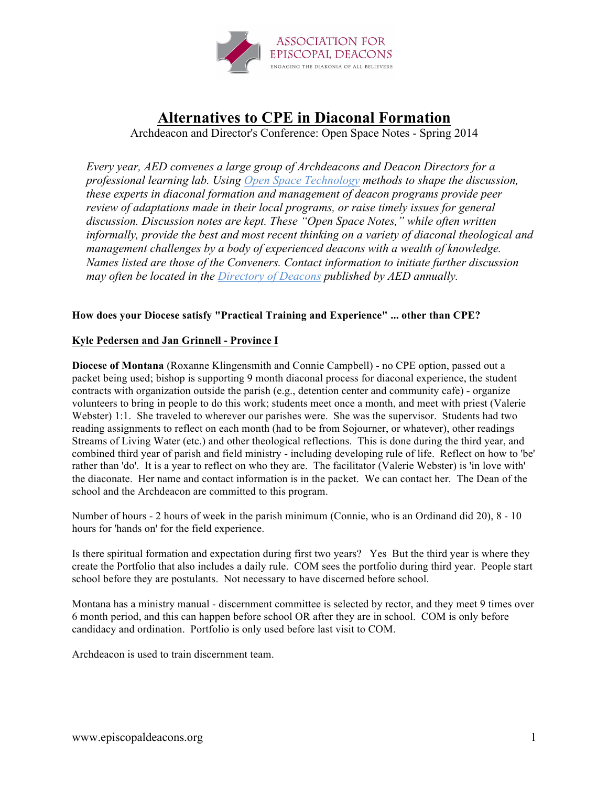

# **Alternatives to CPE in Diaconal Formation**

Archdeacon and Director's Conference: Open Space Notes - Spring 2014

*Every year, AED convenes a large group of Archdeacons and Deacon Directors for a professional learning lab. Using Open Space Technology methods to shape the discussion, these experts in diaconal formation and management of deacon programs provide peer review of adaptations made in their local programs, or raise timely issues for general discussion. Discussion notes are kept. These "Open Space Notes," while often written informally, provide the best and most recent thinking on a variety of diaconal theological and management challenges by a body of experienced deacons with a wealth of knowledge. Names listed are those of the Conveners. Contact information to initiate further discussion may often be located in the Directory of Deacons published by AED annually.*

## **How does your Diocese satisfy "Practical Training and Experience" ... other than CPE?**

## **Kyle Pedersen and Jan Grinnell - Province I**

**Diocese of Montana** (Roxanne Klingensmith and Connie Campbell) - no CPE option, passed out a packet being used; bishop is supporting 9 month diaconal process for diaconal experience, the student contracts with organization outside the parish (e.g., detention center and community cafe) - organize volunteers to bring in people to do this work; students meet once a month, and meet with priest (Valerie Webster) 1:1. She traveled to wherever our parishes were. She was the supervisor. Students had two reading assignments to reflect on each month (had to be from Sojourner, or whatever), other readings Streams of Living Water (etc.) and other theological reflections. This is done during the third year, and combined third year of parish and field ministry - including developing rule of life. Reflect on how to 'be' rather than 'do'. It is a year to reflect on who they are. The facilitator (Valerie Webster) is 'in love with' the diaconate. Her name and contact information is in the packet. We can contact her. The Dean of the school and the Archdeacon are committed to this program.

Number of hours - 2 hours of week in the parish minimum (Connie, who is an Ordinand did 20), 8 - 10 hours for 'hands on' for the field experience.

Is there spiritual formation and expectation during first two years? Yes But the third year is where they create the Portfolio that also includes a daily rule. COM sees the portfolio during third year. People start school before they are postulants. Not necessary to have discerned before school.

Montana has a ministry manual - discernment committee is selected by rector, and they meet 9 times over 6 month period, and this can happen before school OR after they are in school. COM is only before candidacy and ordination. Portfolio is only used before last visit to COM.

Archdeacon is used to train discernment team.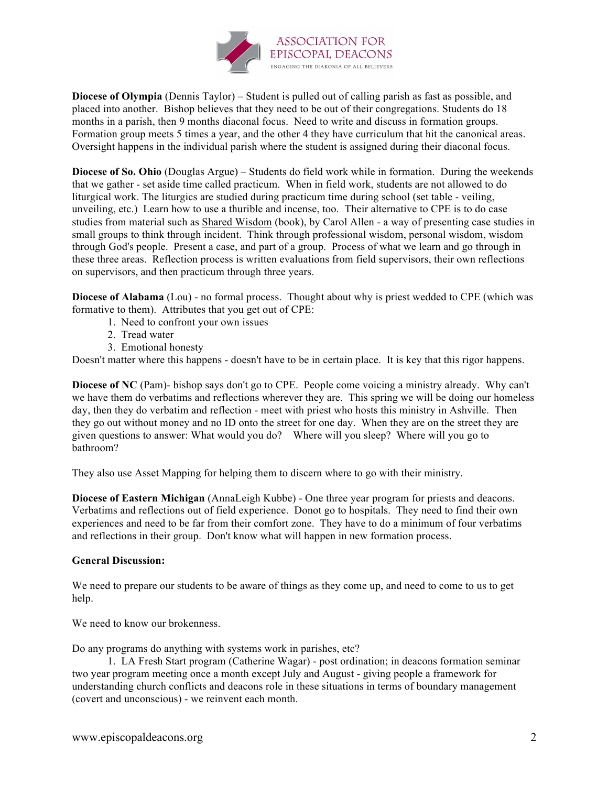

**Diocese of Olympia** (Dennis Taylor) – Student is pulled out of calling parish as fast as possible, and placed into another. Bishop believes that they need to be out of their congregations. Students do 18 months in a parish, then 9 months diaconal focus. Need to write and discuss in formation groups. Formation group meets 5 times a year, and the other 4 they have curriculum that hit the canonical areas. Oversight happens in the individual parish where the student is assigned during their diaconal focus.

**Diocese of So. Ohio** (Douglas Argue) – Students do field work while in formation. During the weekends that we gather - set aside time called practicum. When in field work, students are not allowed to do liturgical work. The liturgics are studied during practicum time during school (set table - veiling, unveiling, etc.) Learn how to use a thurible and incense, too. Their alternative to CPE is to do case studies from material such as Shared Wisdom (book), by Carol Allen - a way of presenting case studies in small groups to think through incident. Think through professional wisdom, personal wisdom, wisdom through God's people. Present a case, and part of a group. Process of what we learn and go through in these three areas. Reflection process is written evaluations from field supervisors, their own reflections on supervisors, and then practicum through three years.

**Diocese of Alabama** (Lou) - no formal process. Thought about why is priest wedded to CPE (which was formative to them). Attributes that you get out of CPE:

- 1. Need to confront your own issues
- 2. Tread water
- 3. Emotional honesty

Doesn't matter where this happens - doesn't have to be in certain place. It is key that this rigor happens.

**Diocese of NC** (Pam)- bishop says don't go to CPE. People come voicing a ministry already. Why can't we have them do verbatims and reflections wherever they are. This spring we will be doing our homeless day, then they do verbatim and reflection - meet with priest who hosts this ministry in Ashville. Then they go out without money and no ID onto the street for one day. When they are on the street they are given questions to answer: What would you do? Where will you sleep? Where will you go to bathroom?

They also use Asset Mapping for helping them to discern where to go with their ministry.

**Diocese of Eastern Michigan** (AnnaLeigh Kubbe) - One three year program for priests and deacons. Verbatims and reflections out of field experience. Donot go to hospitals. They need to find their own experiences and need to be far from their comfort zone. They have to do a minimum of four verbatims and reflections in their group. Don't know what will happen in new formation process.

#### **General Discussion:**

We need to prepare our students to be aware of things as they come up, and need to come to us to get help.

We need to know our brokenness.

Do any programs do anything with systems work in parishes, etc?

1. LA Fresh Start program (Catherine Wagar) - post ordination; in deacons formation seminar two year program meeting once a month except July and August - giving people a framework for understanding church conflicts and deacons role in these situations in terms of boundary management (covert and unconscious) - we reinvent each month.